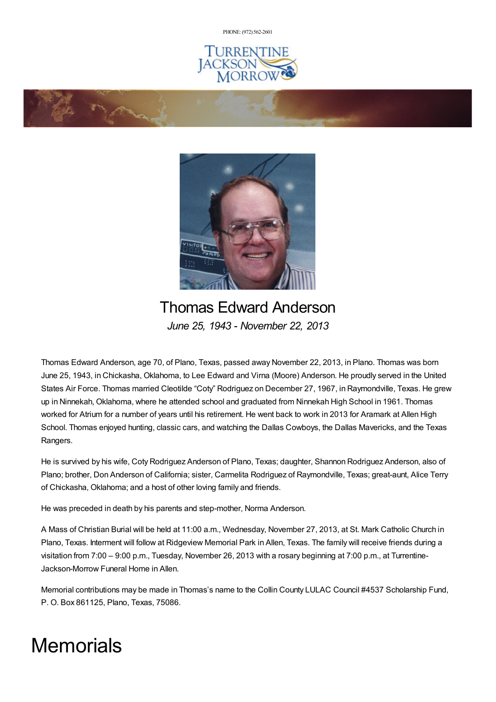PHONE: (972) [562-2601](tel:(972) 562-2601)







## Thomas Edward Anderson *June 25, 1943 - November 22, 2013*

Thomas Edward Anderson, age 70, of Plano, Texas, passed away November 22, 2013, in Plano. Thomas was born June 25, 1943, in Chickasha, Oklahoma, to Lee Edward and Virna (Moore) Anderson. He proudly served in the United States Air Force. Thomas married Cleotilde "Coty" Rodriguez on December 27, 1967, in Raymondville, Texas. He grew up in Ninnekah, Oklahoma, where he attended school and graduated from Ninnekah High School in 1961. Thomas worked for Atrium for a number of years until his retirement. He went back to work in 2013 for Aramark at Allen High School. Thomas enjoyed hunting, classic cars, and watching the Dallas Cowboys, the Dallas Mavericks, and the Texas Rangers.

He is survived by his wife, Coty Rodriguez Anderson of Plano, Texas; daughter, Shannon Rodriguez Anderson, also of Plano; brother, Don Anderson of California; sister, Carmelita Rodriguez of Raymondville, Texas; great-aunt, Alice Terry of Chickasha, Oklahoma; and a host of other loving family and friends.

He was preceded in death by his parents and step-mother, Norma Anderson.

A Mass of Christian Burial will be held at 11:00 a.m., Wednesday, November 27, 2013, at St. Mark Catholic Church in Plano, Texas. Interment will follow at Ridgeview Memorial Park in Allen, Texas. The family will receive friends during a visitation from 7:00 – 9:00 p.m., Tuesday, November 26, 2013 with a rosary beginning at 7:00 p.m., at Turrentine-Jackson-Morrow Funeral Home in Allen.

Memorial contributions may be made in Thomas's name to the Collin County LULAC Council #4537 Scholarship Fund, P. O. Box 861125, Plano, Texas, 75086.

## **Memorials**